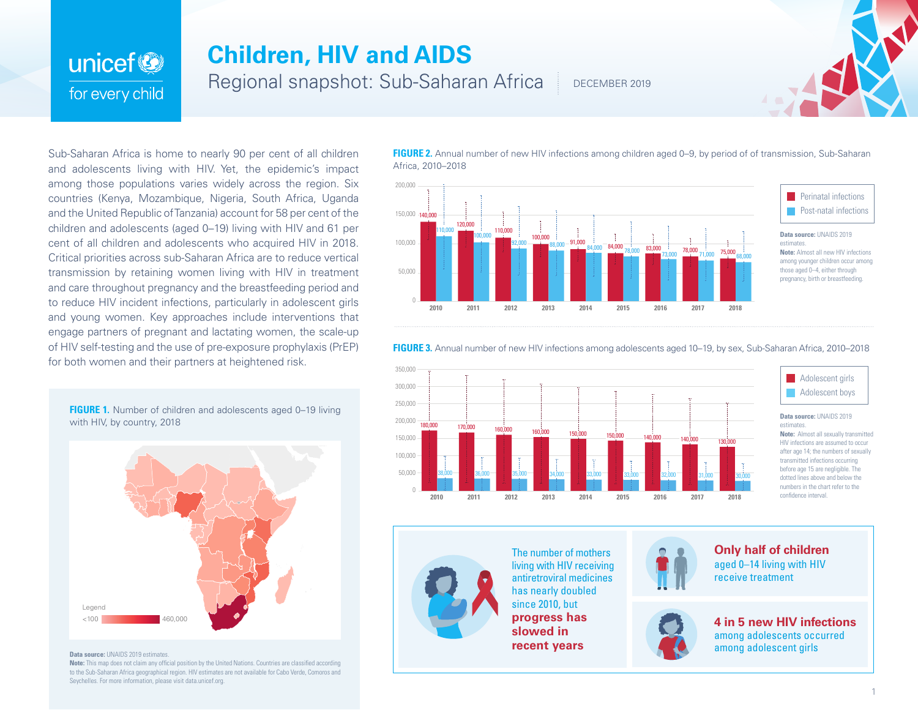# unicef<sup>®</sup> for every child

## **Children, HIV and AIDS**

Regional snapshot: Sub-Saharan Africa

DECEMBER 2019



Sub-Saharan Africa is home to nearly 90 per cent of all children and adolescents living with HIV. Yet, the epidemic's impact among those populations varies widely across the region. Six countries (Kenya, Mozambique, Nigeria, South Africa, Uganda and the United Republic of Tanzania) account for 58 per cent of the children and adolescents (aged 0–19) living with HIV and 61 per cent of all children and adolescents who acquired HIV in 2018. Critical priorities across sub-Saharan Africa are to reduce vertical transmission by retaining women living with HIV in treatment and care throughout pregnancy and the breastfeeding period and to reduce HIV incident infections, particularly in adolescent girls and young women. Key approaches include interventions that engage partners of pregnant and lactating women, the scale-up of HIV self-testing and the use of pre-exposure prophylaxis (PrEP) for both women and their partners at heightened risk.

**FIGURE 1.** Number of children and adolescents aged 0–19 living with HIV, by country, 2018



#### **Data source: UNAIDS 2019 estimates.**

**Note:** This map does not claim any official position by the United Nations. Countries are classified according to the Sub-Saharan Africa geographical region. HIV estimates are not available for Cabo Verde, Comoros and Seychelles. For more information, please visit data.unicef.org.

**FIGURE 2.** Annual number of new HIV infections among children aged 0–9, by period of of transmission, Sub-Saharan Africa, 2010–2018



**Perinatal infections Post-natal infections** 

### **Data source:** UNAIDS 2019 **Note:** Almost all new HIV infections among younger children occur among those aged 0–4, either through

## **FIGURE 3.** Annual number of new HIV infections among adolescents aged 10–19, by sex, Sub-Saharan Africa, 2010–2018





#### **Data source:** UNAIDS 2019

**Note:** Almost all sexually transmitted HIV infections are assumed to occur after age 14; the numbers of sexually transmitted infections occurring before age 15 are negligible. The dotted lines above and below the numbers in the chart refer to the confidence interval.



The number of mothers living with HIV receiving antiretroviral medicines has nearly doubled since 2010, but **progress has slowed in recent years**







**4 in 5 new HIV infections**  among adolescents occurred among adolescent girls